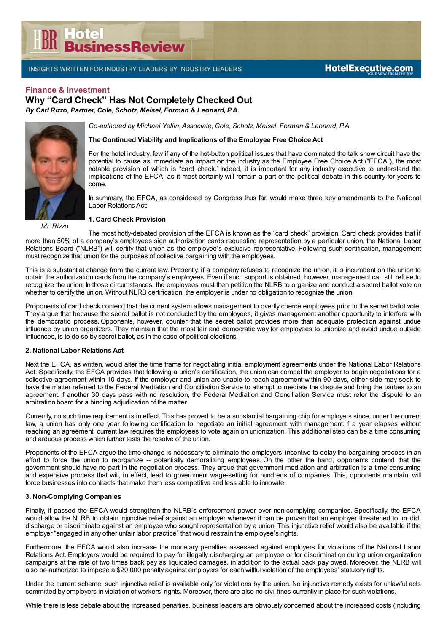# **DR**<br>DR<br>BusinessReview

INSIGHTS WRITTEN FOR INDUSTRY LEADERS BY INDUSTRY LEADERS

## **Finance & Investment**

**Why "Card Check" Has Not Completely Checked Out**

*By Carl Rizzo, Partner, Cole, Schotz, Meisel, Forman & Leonard, P.A.*

*Co-authored by Michael Yellin,Associate, Cole, Schotz, Meisel, Forman & Leonard, P.A.*

**The Continued Viability and Implications of the Employee Free Choice Act**

For the hotel industry, few if any of the hot-button political issues that have dominated the talk show circuit have the potential to cause as immediate an impact on the industry as the Employee Free Choice Act ("EFCA"), the most notable provision of which is "card check." Indeed, it is important for any industry executive to understand the implications of the EFCA, as it most certainly will remain a part of the political debate in this country for years to come.

In summary, the EFCA, as considered by Congress thus far, would make three key amendments to the National Labor Relations Act:

#### **1. Card Check Provision**

The most hotly-debated provision of the EFCA is known as the "card check" provision. Card check provides that if more than 50% of a company's employees sign authorization cards requesting representation by a particular union, the National Labor Relations Board ("NLRB") will certify that union as the employee's exclusive representative. Following such certification, management must recognize that union for the purposes of collective bargaining with the employees.

This is a substantial change from the current law. Presently, if a company refuses to recognize the union, it is incumbent on the union to obtain the authorization cards from the company's employees. Even if such support is obtained, however, management can still refuse to recognize the union. In those circumstances, the employees must then petition the NLRB to organize and conduct a secret ballot vote on whether to certify the union. Without NLRB certification, the employer is under no obligation to recognize the union.

Proponents of card check contend that the current system allows management to overtly coerce employees prior to the secret ballot vote. They argue that because the secret ballot is not conducted by the employees, it gives management another opportunity to interfere with the democratic process. Opponents, however, counter that the secret ballot provides more than adequate protection against undue influence by union organizers. They maintain that the most fair and democratic way for employees to unionize and avoid undue outside influences, is to do so by secret ballot, as in the case of political elections.

## **2. National Labor Relations Act**

Next the EFCA, as written, would alter the time frame for negotiating initial employment agreements under the National Labor Relations Act. Specifically, the EFCA provides that following a union's certification, the union can compel the employer to begin negotiations for a collective agreement within 10 days. If the employer and union are unable to reach agreement within 90 days, either side may seek to have the matter referred to the Federal Mediation and Conciliation Service to attempt to mediate the dispute and bring the parties to an agreement. If another 30 days pass with no resolution, the Federal Mediation and Conciliation Service must refer the dispute to an arbitration board for a binding adjudication of the matter.

Currently, no such time requirement is in effect. This has proved to be a substantial bargaining chip for employers since, under the current law, a union has only one year following certification to negotiate an initial agreement with management. If a year elapses without reaching an agreement, current law requires the employees to vote again on unionization. This additional step can be a time consuming and arduous process which further tests the resolve of the union.

Proponents of the EFCA argue the time change is necessary to eliminate the employers' incentive to delay the bargaining process in an effort to force the union to reorganize -- potentially demoralizing employees. On the other the hand, opponents contend that the government should have no part in the negotiation process. They argue that government mediation and arbitration is a time consuming and expensive process that will, in effect, lead to government wage-setting for hundreds of companies. This, opponents maintain, will force businesses into contracts that make them less competitive and less able to innovate.

#### **3. Non-Complying Companies**

Finally, if passed the EFCA would strengthen the NLRB's enforcement power over non-complying companies. Specifically, the EFCA would allow the NLRB to obtain injunctive relief against an employer whenever it can be proven that an employer threatened to, or did, discharge or discriminate against an employee who sought representation by a union. This injunctive relief would also be available if the employer "engaged in any other unfair labor practice" that would restrain the employee's rights.

Furthermore, the EFCA would also increase the monetary penalties assessed against employers for violations of the National Labor Relations Act. Employers would be required to pay for illegally discharging an employee or for discrimination during union organization campaigns at the rate of two times back pay as liquidated damages, in addition to the actual back pay owed. Moreover, the NLRB will also be authorized to impose a \$20,000 penalty against employers for each willful violation of the employees' statutory rights.

Under the current scheme, such injunctive relief is available only for violations by the union. No injunctive remedy exists for unlawful acts committed by employers in violation of workers' rights. Moreover, there are also no civil fines currently in place for such violations.

While there is less debate about the increased penalties, business leaders are obviously concerned about the increased costs (including



*Mr. Rizzo*